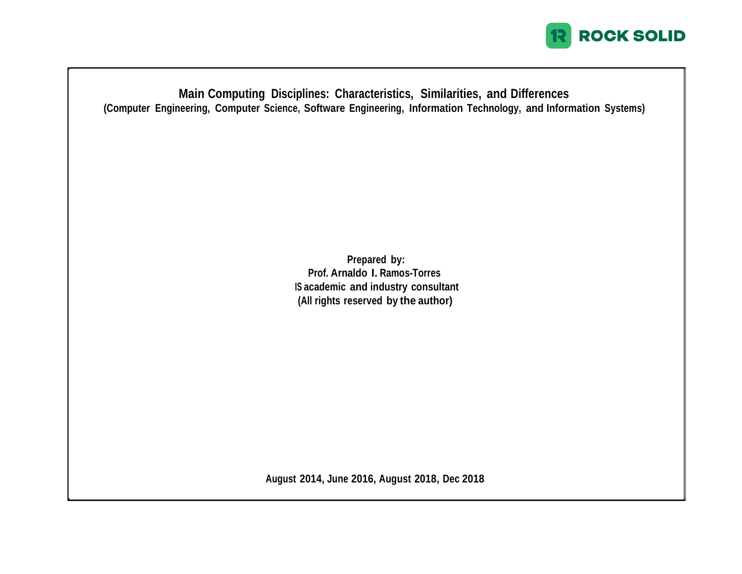

**Main Computing Disciplines: Characteristics, Similarities, and Differences (Computer Engineering, Computer Science, Software Engineering, Information Technology, and Information Systems)**

> **Prepared by: Prof. Arnaldo I. Ramos-Torres IS academic and industry consultant (All rights reserved by the author)**

**August 2014, June 2016, August 2018, Dec 2018**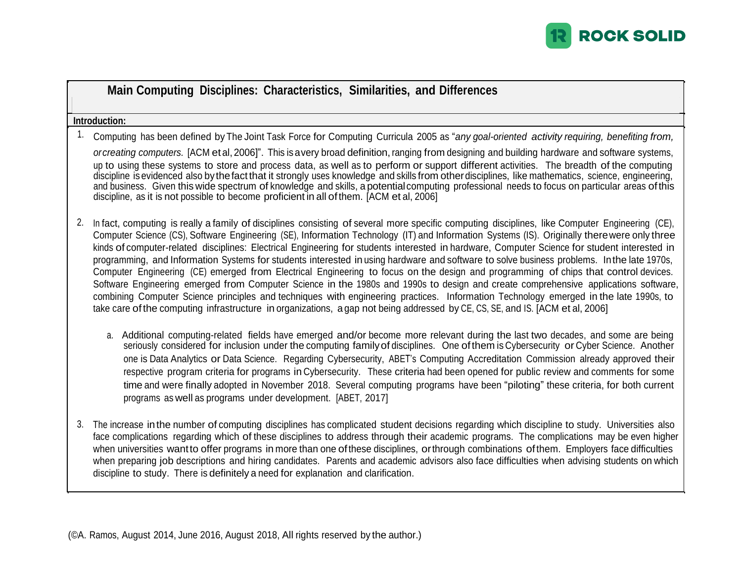

|             | Main Computing Disciplines: Characteristics, Similarities, and Differences                                                                                                                                                                                                                                                                                                                                                                                                                                                                                                                                                                                                                                                                                                                                                                                                                                                                                                                                                                                                                                                                              |
|-------------|---------------------------------------------------------------------------------------------------------------------------------------------------------------------------------------------------------------------------------------------------------------------------------------------------------------------------------------------------------------------------------------------------------------------------------------------------------------------------------------------------------------------------------------------------------------------------------------------------------------------------------------------------------------------------------------------------------------------------------------------------------------------------------------------------------------------------------------------------------------------------------------------------------------------------------------------------------------------------------------------------------------------------------------------------------------------------------------------------------------------------------------------------------|
|             | Introduction:                                                                                                                                                                                                                                                                                                                                                                                                                                                                                                                                                                                                                                                                                                                                                                                                                                                                                                                                                                                                                                                                                                                                           |
| $1_{\cdot}$ | Computing has been defined by The Joint Task Force for Computing Curricula 2005 as "any goal-oriented activity requiring, benefiting from,<br>orcreating computers. [ACM et al, 2006]". This is a very broad definition, ranging from designing and building hardware and software systems,<br>up to using these systems to store and process data, as well as to perform or support different activities. The breadth of the computing<br>discipline is evidenced also by the fact that it strongly uses knowledge and skills from other disciplines, like mathematics, science, engineering,<br>and business. Given this wide spectrum of knowledge and skills, a potential computing professional needs to focus on particular areas of this<br>discipline, as it is not possible to become proficient in all of them. [ACM et al, 2006]                                                                                                                                                                                                                                                                                                             |
| 2.          | In fact, computing is really a family of disciplines consisting of several more specific computing disciplines, like Computer Engineering (CE),<br>Computer Science (CS), Software Engineering (SE), Information Technology (IT) and Information Systems (IS). Originally there were only three<br>kinds of computer-related disciplines: Electrical Engineering for students interested in hardware, Computer Science for student interested in<br>programming, and Information Systems for students interested in using hardware and software to solve business problems. In the late 1970s,<br>Computer Engineering (CE) emerged from Electrical Engineering to focus on the design and programming of chips that control devices.<br>Software Engineering emerged from Computer Science in the 1980s and 1990s to design and create comprehensive applications software,<br>combining Computer Science principles and techniques with engineering practices. Information Technology emerged in the late 1990s, to<br>take care of the computing infrastructure in organizations, a gap not being addressed by CE, CS, SE, and IS. [ACM et al, 2006] |
|             | a. Additional computing-related fields have emerged and/or become more relevant during the last two decades, and some are being<br>seriously considered for inclusion under the computing family of disciplines. One of them is Cybersecurity or Cyber Science. Another<br>one is Data Analytics or Data Science. Regarding Cybersecurity, ABET's Computing Accreditation Commission already approved their<br>respective program criteria for programs in Cybersecurity. These criteria had been opened for public review and comments for some<br>time and were finally adopted in November 2018. Several computing programs have been "piloting" these criteria, for both current<br>programs as well as programs under development. [ABET, 2017]                                                                                                                                                                                                                                                                                                                                                                                                    |
| 3.          | The increase in the number of computing disciplines has complicated student decisions regarding which discipline to study. Universities also<br>face complications regarding which of these disciplines to address through their academic programs. The complications may be even higher<br>when universities want to offer programs in more than one of these disciplines, or through combinations of them. Employers face difficulties<br>when preparing job descriptions and hiring candidates. Parents and academic advisors also face difficulties when advising students on which                                                                                                                                                                                                                                                                                                                                                                                                                                                                                                                                                                 |

discipline to study. There is definitely a need for explanation and clarification.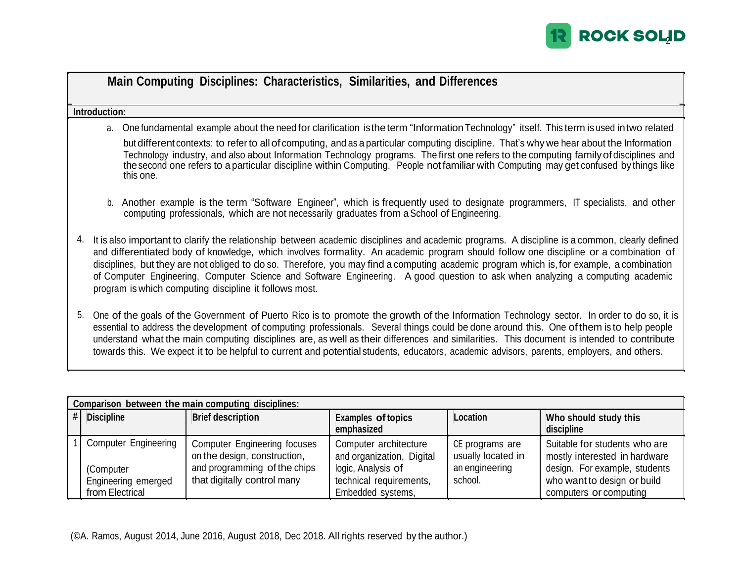

|    | Main Computing Disciplines: Characteristics, Similarities, and Differences                                                                                                                                                                                                                                                                                                                                                                                                                                                                                                                                                      |
|----|---------------------------------------------------------------------------------------------------------------------------------------------------------------------------------------------------------------------------------------------------------------------------------------------------------------------------------------------------------------------------------------------------------------------------------------------------------------------------------------------------------------------------------------------------------------------------------------------------------------------------------|
|    | Introduction:                                                                                                                                                                                                                                                                                                                                                                                                                                                                                                                                                                                                                   |
|    | a. One fundamental example about the need for clarification is the term "Information Technology" itself. This term is used in two related                                                                                                                                                                                                                                                                                                                                                                                                                                                                                       |
|    | but different contexts: to refer to all of computing, and as a particular computing discipline. That's why we hear about the Information<br>Technology industry, and also about Information Technology programs. The first one refers to the computing family of disciplines and<br>the second one refers to a particular discipline within Computing. People not familiar with Computing may get confused by things like<br>this one.                                                                                                                                                                                          |
|    | Another example is the term "Software Engineer", which is frequently used to designate programmers, IT specialists, and other<br>b.<br>computing professionals, which are not necessarily graduates from a School of Engineering.                                                                                                                                                                                                                                                                                                                                                                                               |
| 4. | It is also important to clarify the relationship between academic disciplines and academic programs. A discipline is a common, clearly defined<br>and differentiated body of knowledge, which involves formality. An academic program should follow one discipline or a combination of<br>disciplines, but they are not obliged to do so. Therefore, you may find a computing academic program which is, for example, a combination<br>of Computer Engineering, Computer Science and Software Engineering. A good question to ask when analyzing a computing academic<br>program is which computing discipline it follows most. |
| 5. | One of the goals of the Government of Puerto Rico is to promote the growth of the Information Technology sector. In order to do so, it is<br>essential to address the development of computing professionals. Several things could be done around this. One of them is to help people<br>understand what the main computing disciplines are, as well as their differences and similarities. This document is intended to contribute<br>towards this. We expect it to be helpful to current and potential students, educators, academic advisors, parents, employers, and others.                                                |

| Comparison between the main computing disciplines:                                 |                                                                                                                                    |                                                                                                                          |                                                                    |                                                                                                                                                          |  |  |  |  |
|------------------------------------------------------------------------------------|------------------------------------------------------------------------------------------------------------------------------------|--------------------------------------------------------------------------------------------------------------------------|--------------------------------------------------------------------|----------------------------------------------------------------------------------------------------------------------------------------------------------|--|--|--|--|
| <b>Discipline</b>                                                                  | <b>Brief description</b>                                                                                                           | <b>Examples of topics</b><br>emphasized                                                                                  | Location                                                           | Who should study this<br>discipline                                                                                                                      |  |  |  |  |
| <b>Computer Engineering</b><br>(Computer<br>Engineering emerged<br>from Electrical | <b>Computer Engineering focuses</b><br>on the design, construction,<br>and programming of the chips<br>that digitally control many | Computer architecture<br>and organization, Digital<br>logic, Analysis of<br>technical requirements,<br>Embedded systems, | CE programs are<br>usually located in<br>an engineering<br>school. | Suitable for students who are<br>mostly interested in hardware<br>design. For example, students<br>who want to design or build<br>computers or computing |  |  |  |  |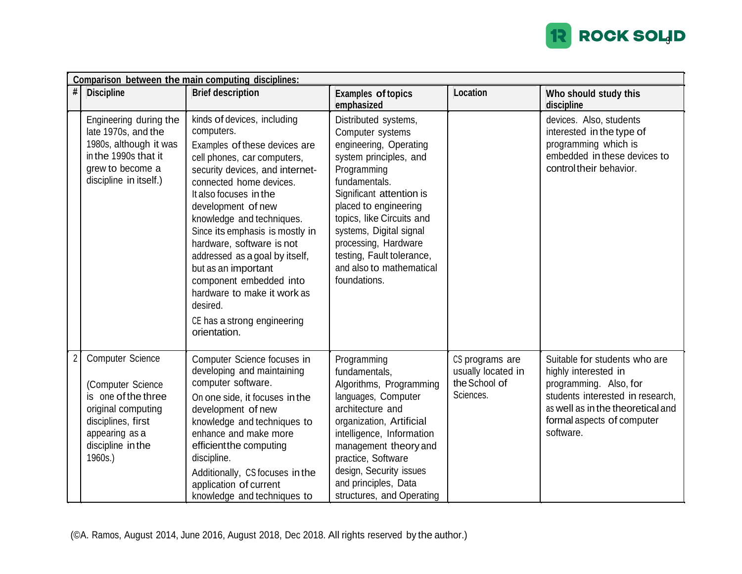

|                | Comparison between the main computing disciplines:                                                                                                                |                                                                                                                                                                                                                                                                                                                                                                                                                                                                                                    |                                                                                                                                                                                                                                                                                                                                            |                                                                     |                                                                                                                                                                                                     |  |  |  |  |
|----------------|-------------------------------------------------------------------------------------------------------------------------------------------------------------------|----------------------------------------------------------------------------------------------------------------------------------------------------------------------------------------------------------------------------------------------------------------------------------------------------------------------------------------------------------------------------------------------------------------------------------------------------------------------------------------------------|--------------------------------------------------------------------------------------------------------------------------------------------------------------------------------------------------------------------------------------------------------------------------------------------------------------------------------------------|---------------------------------------------------------------------|-----------------------------------------------------------------------------------------------------------------------------------------------------------------------------------------------------|--|--|--|--|
| #              | <b>Discipline</b>                                                                                                                                                 | <b>Brief description</b>                                                                                                                                                                                                                                                                                                                                                                                                                                                                           | <b>Examples of topics</b><br>emphasized                                                                                                                                                                                                                                                                                                    | Location                                                            | Who should study this<br>discipline                                                                                                                                                                 |  |  |  |  |
|                | Engineering during the<br>late 1970s, and the<br>1980s, although it was<br>in the 1990s that it<br>grew to become a<br>discipline in itself.)                     | kinds of devices, including<br>computers.<br>Examples of these devices are<br>cell phones, car computers,<br>security devices, and internet-<br>connected home devices.<br>It also focuses in the<br>development of new<br>knowledge and techniques.<br>Since its emphasis is mostly in<br>hardware, software is not<br>addressed as a goal by itself,<br>but as an important<br>component embedded into<br>hardware to make it work as<br>desired.<br>CE has a strong engineering<br>orientation. | Distributed systems,<br>Computer systems<br>engineering, Operating<br>system principles, and<br>Programming<br>fundamentals.<br>Significant attention is<br>placed to engineering<br>topics, like Circuits and<br>systems, Digital signal<br>processing, Hardware<br>testing, Fault tolerance,<br>and also to mathematical<br>foundations. |                                                                     | devices. Also, students<br>interested in the type of<br>programming which is<br>embedded in these devices to<br>control their behavior.                                                             |  |  |  |  |
| $\overline{2}$ | <b>Computer Science</b><br>(Computer Science<br>is one of the three<br>original computing<br>disciplines, first<br>appearing as a<br>discipline in the<br>1960s.) | Computer Science focuses in<br>developing and maintaining<br>computer software.<br>On one side, it focuses in the<br>development of new<br>knowledge and techniques to<br>enhance and make more<br>efficient the computing<br>discipline.<br>Additionally, CS focuses in the<br>application of current<br>knowledge and techniques to                                                                                                                                                              | Programming<br>fundamentals,<br>Algorithms, Programming<br>languages, Computer<br>architecture and<br>organization, Artificial<br>intelligence, Information<br>management theory and<br>practice, Software<br>design, Security issues<br>and principles, Data<br>structures, and Operating                                                 | CS programs are<br>usually located in<br>the School of<br>Sciences. | Suitable for students who are<br>highly interested in<br>programming. Also, for<br>students interested in research,<br>as well as in the theoretical and<br>formal aspects of computer<br>software. |  |  |  |  |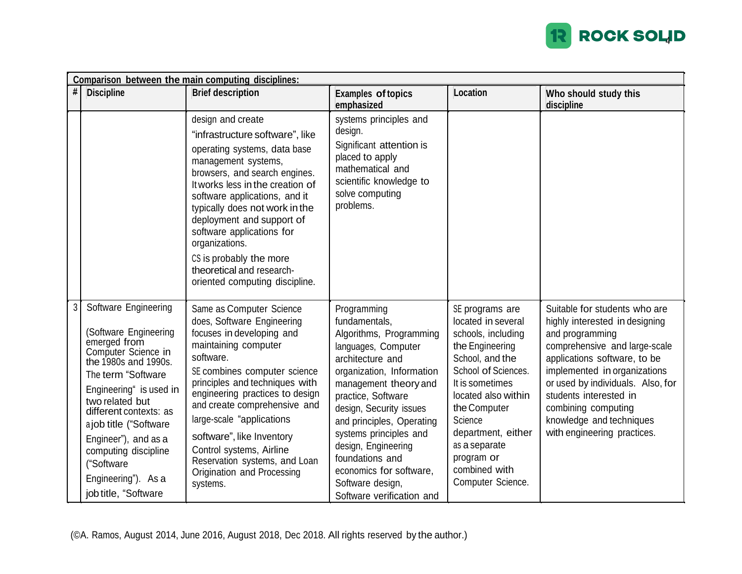

|                | Comparison between the main computing disciplines:                                                                                                                                                                                                                                                                                                |                                                                                                                                                                                                                                                                                                                                                                                                                                |                                                                                                                                                                                                                                                                                                                                                                                        |                                                                                                                                                                                                                                                                                          |                                                                                                                                                                                                                                                                                                                                      |  |  |  |
|----------------|---------------------------------------------------------------------------------------------------------------------------------------------------------------------------------------------------------------------------------------------------------------------------------------------------------------------------------------------------|--------------------------------------------------------------------------------------------------------------------------------------------------------------------------------------------------------------------------------------------------------------------------------------------------------------------------------------------------------------------------------------------------------------------------------|----------------------------------------------------------------------------------------------------------------------------------------------------------------------------------------------------------------------------------------------------------------------------------------------------------------------------------------------------------------------------------------|------------------------------------------------------------------------------------------------------------------------------------------------------------------------------------------------------------------------------------------------------------------------------------------|--------------------------------------------------------------------------------------------------------------------------------------------------------------------------------------------------------------------------------------------------------------------------------------------------------------------------------------|--|--|--|
| #              | <b>Discipline</b>                                                                                                                                                                                                                                                                                                                                 | <b>Brief description</b>                                                                                                                                                                                                                                                                                                                                                                                                       | <b>Examples of topics</b><br>emphasized                                                                                                                                                                                                                                                                                                                                                | Location                                                                                                                                                                                                                                                                                 | Who should study this<br>discipline                                                                                                                                                                                                                                                                                                  |  |  |  |
|                |                                                                                                                                                                                                                                                                                                                                                   | design and create<br>"infrastructure software", like<br>operating systems, data base<br>management systems,<br>browsers, and search engines.<br>It works less in the creation of<br>software applications, and it<br>typically does not work in the<br>deployment and support of<br>software applications for<br>organizations.<br>CS is probably the more<br>theoretical and research-<br>oriented computing discipline.      | systems principles and<br>design.<br>Significant attention is<br>placed to apply<br>mathematical and<br>scientific knowledge to<br>solve computing<br>problems.                                                                                                                                                                                                                        |                                                                                                                                                                                                                                                                                          |                                                                                                                                                                                                                                                                                                                                      |  |  |  |
| 3 <sup>1</sup> | Software Engineering<br>(Software Engineering<br>emerged from<br>Computer Science in<br>the 1980s and 1990s.<br>The term "Software"<br>Engineering" is used in<br>two related but<br>different contexts: as<br>ajob title ("Software<br>Engineer"), and as a<br>computing discipline<br>("Software<br>Engineering"). As a<br>job title, "Software | Same as Computer Science<br>does, Software Engineering<br>focuses in developing and<br>maintaining computer<br>software.<br>SE combines computer science<br>principles and techniques with<br>engineering practices to design<br>and create comprehensive and<br>large-scale "applications<br>software", like Inventory<br>Control systems, Airline<br>Reservation systems, and Loan<br>Origination and Processing<br>systems. | Programming<br>fundamentals,<br>Algorithms, Programming<br>languages, Computer<br>architecture and<br>organization, Information<br>management theory and<br>practice, Software<br>design, Security issues<br>and principles, Operating<br>systems principles and<br>design, Engineering<br>foundations and<br>economics for software,<br>Software design,<br>Software verification and | SE programs are<br>located in several<br>schools, including<br>the Engineering<br>School, and the<br>School of Sciences.<br>It is sometimes<br>located also within<br>the Computer<br>Science<br>department, either<br>as a separate<br>program or<br>combined with<br>Computer Science. | Suitable for students who are<br>highly interested in designing<br>and programming<br>comprehensive and large-scale<br>applications software, to be<br>implemented in organizations<br>or used by individuals. Also, for<br>students interested in<br>combining computing<br>knowledge and techniques<br>with engineering practices. |  |  |  |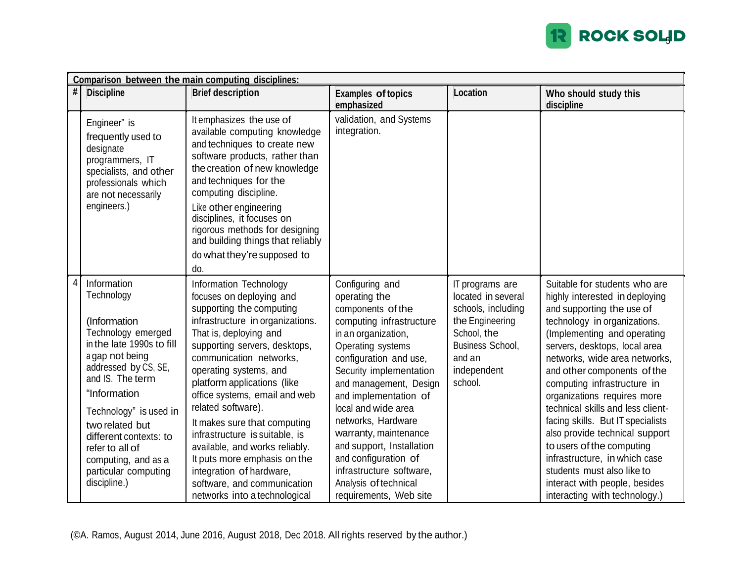

|   | Comparison between the main computing disciplines:                                                                                                                                                                                                                                                                                   |                                                                                                                                                                                                                                                                                                                                                                                                                                                                                                                                                          |                                                                                                                                                                                                                                                                                                                                                                                                                                                 |                                                                                                                                                       |                                                                                                                                                                                                                                                                                                                                                                                                                                                                                                                                                                                                      |  |  |  |
|---|--------------------------------------------------------------------------------------------------------------------------------------------------------------------------------------------------------------------------------------------------------------------------------------------------------------------------------------|----------------------------------------------------------------------------------------------------------------------------------------------------------------------------------------------------------------------------------------------------------------------------------------------------------------------------------------------------------------------------------------------------------------------------------------------------------------------------------------------------------------------------------------------------------|-------------------------------------------------------------------------------------------------------------------------------------------------------------------------------------------------------------------------------------------------------------------------------------------------------------------------------------------------------------------------------------------------------------------------------------------------|-------------------------------------------------------------------------------------------------------------------------------------------------------|------------------------------------------------------------------------------------------------------------------------------------------------------------------------------------------------------------------------------------------------------------------------------------------------------------------------------------------------------------------------------------------------------------------------------------------------------------------------------------------------------------------------------------------------------------------------------------------------------|--|--|--|
| # | <b>Discipline</b>                                                                                                                                                                                                                                                                                                                    | <b>Brief description</b>                                                                                                                                                                                                                                                                                                                                                                                                                                                                                                                                 | <b>Examples of topics</b><br>emphasized                                                                                                                                                                                                                                                                                                                                                                                                         | Location                                                                                                                                              | Who should study this<br>discipline                                                                                                                                                                                                                                                                                                                                                                                                                                                                                                                                                                  |  |  |  |
|   | Engineer" is<br>frequently used to<br>designate<br>programmers, IT<br>specialists, and other<br>professionals which<br>are not necessarily<br>engineers.)                                                                                                                                                                            | It emphasizes the use of<br>available computing knowledge<br>and techniques to create new<br>software products, rather than<br>the creation of new knowledge<br>and techniques for the<br>computing discipline.<br>Like other engineering<br>disciplines, it focuses on<br>rigorous methods for designing<br>and building things that reliably<br>do what they're supposed to<br>do.                                                                                                                                                                     | validation, and Systems<br>integration.                                                                                                                                                                                                                                                                                                                                                                                                         |                                                                                                                                                       |                                                                                                                                                                                                                                                                                                                                                                                                                                                                                                                                                                                                      |  |  |  |
| 4 | Information<br>Technology<br>(Information<br>Technology emerged<br>in the late 1990s to fill<br>a gap not being<br>addressed by CS, SE,<br>and IS. The term<br>"Information<br>Technology" is used in<br>two related but<br>different contexts: to<br>refer to all of<br>computing, and as a<br>particular computing<br>discipline.) | Information Technology<br>focuses on deploying and<br>supporting the computing<br>infrastructure in organizations.<br>That is, deploying and<br>supporting servers, desktops,<br>communication networks,<br>operating systems, and<br>platform applications (like<br>office systems, email and web<br>related software).<br>It makes sure that computing<br>infrastructure is suitable, is<br>available, and works reliably.<br>It puts more emphasis on the<br>integration of hardware,<br>software, and communication<br>networks into a technological | Configuring and<br>operating the<br>components of the<br>computing infrastructure<br>in an organization,<br>Operating systems<br>configuration and use,<br>Security implementation<br>and management, Design<br>and implementation of<br>local and wide area<br>networks, Hardware<br>warranty, maintenance<br>and support, Installation<br>and configuration of<br>infrastructure software,<br>Analysis of technical<br>requirements, Web site | IT programs are<br>located in several<br>schools, including<br>the Engineering<br>School, the<br>Business School,<br>and an<br>independent<br>school. | Suitable for students who are<br>highly interested in deploying<br>and supporting the use of<br>technology in organizations.<br>(Implementing and operating<br>servers, desktops, local area<br>networks, wide area networks,<br>and other components of the<br>computing infrastructure in<br>organizations requires more<br>technical skills and less client-<br>facing skills. But IT specialists<br>also provide technical support<br>to users of the computing<br>infrastructure, in which case<br>students must also like to<br>interact with people, besides<br>interacting with technology.) |  |  |  |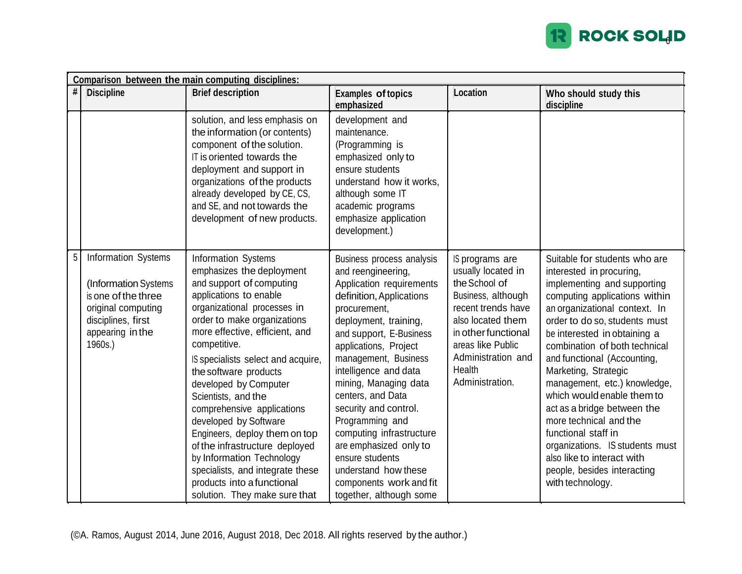

|   | Comparison between the main computing disciplines:                                                                                            |                                                                                                                                                                                                                                                                                                                                                                                                                                                                                                                                                                                                 |                                                                                                                                                                                                                                                                                                                                                                                                                                                                                                        |                                                                                                                                                                                                                        |                                                                                                                                                                                                                                                                                                                                                                                                                                                                                                                                                                                       |  |  |  |  |
|---|-----------------------------------------------------------------------------------------------------------------------------------------------|-------------------------------------------------------------------------------------------------------------------------------------------------------------------------------------------------------------------------------------------------------------------------------------------------------------------------------------------------------------------------------------------------------------------------------------------------------------------------------------------------------------------------------------------------------------------------------------------------|--------------------------------------------------------------------------------------------------------------------------------------------------------------------------------------------------------------------------------------------------------------------------------------------------------------------------------------------------------------------------------------------------------------------------------------------------------------------------------------------------------|------------------------------------------------------------------------------------------------------------------------------------------------------------------------------------------------------------------------|---------------------------------------------------------------------------------------------------------------------------------------------------------------------------------------------------------------------------------------------------------------------------------------------------------------------------------------------------------------------------------------------------------------------------------------------------------------------------------------------------------------------------------------------------------------------------------------|--|--|--|--|
| # | <b>Discipline</b>                                                                                                                             | <b>Brief description</b>                                                                                                                                                                                                                                                                                                                                                                                                                                                                                                                                                                        | <b>Examples of topics</b><br>emphasized                                                                                                                                                                                                                                                                                                                                                                                                                                                                | Location                                                                                                                                                                                                               | Who should study this<br>discipline                                                                                                                                                                                                                                                                                                                                                                                                                                                                                                                                                   |  |  |  |  |
|   |                                                                                                                                               | solution, and less emphasis on<br>the information (or contents)<br>component of the solution.<br>IT is oriented towards the<br>deployment and support in<br>organizations of the products<br>already developed by CE, CS,<br>and SE, and not towards the<br>development of new products.                                                                                                                                                                                                                                                                                                        | development and<br>maintenance.<br>(Programming is<br>emphasized only to<br>ensure students<br>understand how it works,<br>although some IT<br>academic programs<br>emphasize application<br>development.)                                                                                                                                                                                                                                                                                             |                                                                                                                                                                                                                        |                                                                                                                                                                                                                                                                                                                                                                                                                                                                                                                                                                                       |  |  |  |  |
| 5 | Information Systems<br>(Information Systems<br>is one of the three<br>original computing<br>disciplines, first<br>appearing in the<br>1960s.) | Information Systems<br>emphasizes the deployment<br>and support of computing<br>applications to enable<br>organizational processes in<br>order to make organizations<br>more effective, efficient, and<br>competitive.<br>IS specialists select and acquire,<br>the software products<br>developed by Computer<br>Scientists, and the<br>comprehensive applications<br>developed by Software<br>Engineers, deploy them on top<br>of the infrastructure deployed<br>by Information Technology<br>specialists, and integrate these<br>products into a functional<br>solution. They make sure that | Business process analysis<br>and reengineering,<br>Application requirements<br>definition, Applications<br>procurement,<br>deployment, training,<br>and support, E-Business<br>applications, Project<br>management, Business<br>intelligence and data<br>mining, Managing data<br>centers, and Data<br>security and control.<br>Programming and<br>computing infrastructure<br>are emphasized only to<br>ensure students<br>understand how these<br>components work and fit<br>together, although some | IS programs are<br>usually located in<br>the School of<br>Business, although<br>recent trends have<br>also located them<br>in other functional<br>areas like Public<br>Administration and<br>Health<br>Administration. | Suitable for students who are<br>interested in procuring,<br>implementing and supporting<br>computing applications within<br>an organizational context. In<br>order to do so, students must<br>be interested in obtaining a<br>combination of both technical<br>and functional (Accounting,<br>Marketing, Strategic<br>management, etc.) knowledge,<br>which would enable them to<br>act as a bridge between the<br>more technical and the<br>functional staff in<br>organizations. IS students must<br>also like to interact with<br>people, besides interacting<br>with technology. |  |  |  |  |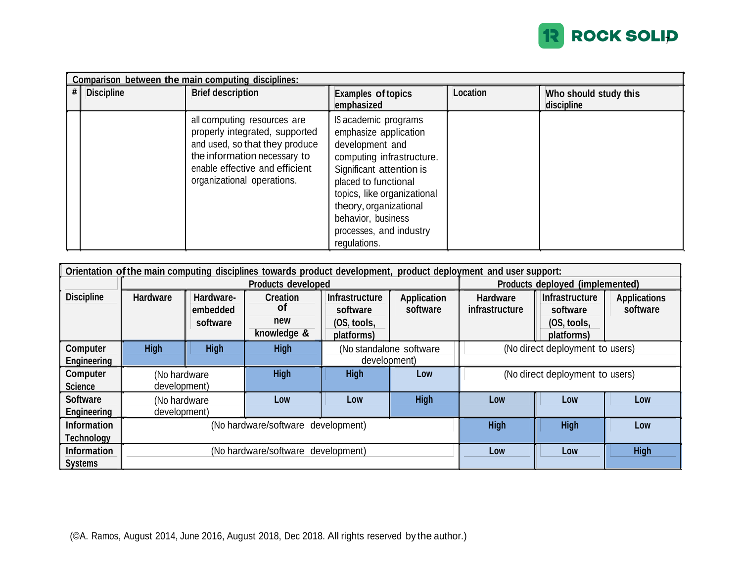

|   | Comparison between the main computing disciplines: |                                                                                                                                                                                                 |                                                                                                                                                                                                                                                                             |          |                                     |  |  |  |
|---|----------------------------------------------------|-------------------------------------------------------------------------------------------------------------------------------------------------------------------------------------------------|-----------------------------------------------------------------------------------------------------------------------------------------------------------------------------------------------------------------------------------------------------------------------------|----------|-------------------------------------|--|--|--|
| # | <b>Discipline</b>                                  | <b>Brief description</b>                                                                                                                                                                        | <b>Examples of topics</b><br>emphasized                                                                                                                                                                                                                                     | Location | Who should study this<br>discipline |  |  |  |
|   |                                                    | all computing resources are<br>properly integrated, supported<br>and used, so that they produce<br>the information necessary to<br>enable effective and efficient<br>organizational operations. | IS academic programs<br>emphasize application<br>development and<br>computing infrastructure.<br>Significant attention is<br>placed to functional<br>topics, like organizational<br>theory, organizational<br>behavior, business<br>processes, and industry<br>regulations. |          |                                     |  |  |  |

| Orientation of the main computing disciplines towards product development, product deployment and user support: |                           |                                    |                                             |                                                                |                                 |                                   |                                                                |                                 |
|-----------------------------------------------------------------------------------------------------------------|---------------------------|------------------------------------|---------------------------------------------|----------------------------------------------------------------|---------------------------------|-----------------------------------|----------------------------------------------------------------|---------------------------------|
|                                                                                                                 | <b>Products developed</b> |                                    |                                             |                                                                |                                 | Products deployed (implemented)   |                                                                |                                 |
| <b>Discipline</b>                                                                                               | <b>Hardware</b>           | Hardware-<br>embedded<br>software  | <b>Creation</b><br>Οf<br>new<br>knowledge & | <b>Infrastructure</b><br>software<br>(OS, tools,<br>platforms) | <b>Application</b><br>software  | <b>Hardware</b><br>infrastructure | <b>Infrastructure</b><br>software<br>(OS, tools,<br>platforms) | <b>Applications</b><br>software |
| <b>High</b><br><b>High</b><br>Computer                                                                          |                           | <b>High</b>                        | (No standalone software                     |                                                                | (No direct deployment to users) |                                   |                                                                |                                 |
| <b>Engineering</b>                                                                                              |                           |                                    |                                             | development)                                                   |                                 |                                   |                                                                |                                 |
| Computer                                                                                                        | (No hardware              |                                    | <b>High</b>                                 | <b>High</b>                                                    | Low                             | (No direct deployment to users)   |                                                                |                                 |
| <b>Science</b>                                                                                                  | development)              |                                    |                                             |                                                                |                                 |                                   |                                                                |                                 |
| <b>Software</b>                                                                                                 | (No hardware              |                                    | Low                                         | Low                                                            | <b>High</b>                     | Low                               | Low                                                            | Low                             |
| Engineering                                                                                                     | development)              |                                    |                                             |                                                                |                                 |                                   |                                                                |                                 |
| <b>Information</b>                                                                                              |                           | (No hardware/software development) |                                             |                                                                | <b>High</b>                     | <b>High</b>                       | Low                                                            |                                 |
| <b>Technology</b>                                                                                               |                           |                                    |                                             |                                                                |                                 |                                   |                                                                |                                 |
| <b>Information</b>                                                                                              |                           |                                    | (No hardware/software development)          |                                                                | Low                             | Low                               | <b>High</b>                                                    |                                 |
| <b>Systems</b>                                                                                                  |                           |                                    |                                             |                                                                |                                 |                                   |                                                                |                                 |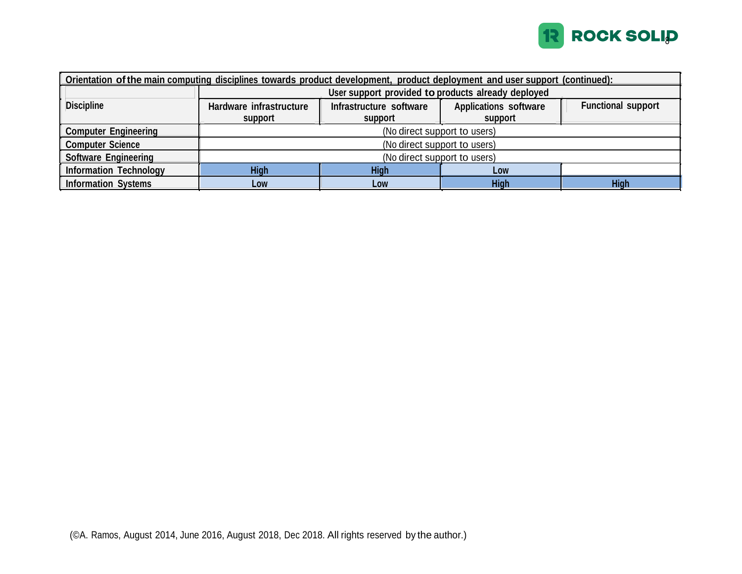

| Orientation of the main computing disciplines towards product development, product deployment and user support (continued): |                                                    |                         |                              |                           |  |  |  |
|-----------------------------------------------------------------------------------------------------------------------------|----------------------------------------------------|-------------------------|------------------------------|---------------------------|--|--|--|
|                                                                                                                             | User support provided to products already deployed |                         |                              |                           |  |  |  |
| <b>Discipline</b>                                                                                                           | Hardware infrastructure                            | Infrastructure software | <b>Applications software</b> | <b>Functional support</b> |  |  |  |
|                                                                                                                             | support                                            | support                 | support                      |                           |  |  |  |
| <b>Computer Engineering</b>                                                                                                 | (No direct support to users)                       |                         |                              |                           |  |  |  |
| <b>Computer Science</b>                                                                                                     | (No direct support to users)                       |                         |                              |                           |  |  |  |
| <b>Software Engineering</b><br>(No direct support to users)                                                                 |                                                    |                         |                              |                           |  |  |  |
| <b>Information Technology</b>                                                                                               | <b>High</b><br><b>High</b><br>Low                  |                         |                              |                           |  |  |  |
| <b>Information Systems</b>                                                                                                  | Low                                                | Low                     | <b>High</b>                  | <b>High</b>               |  |  |  |